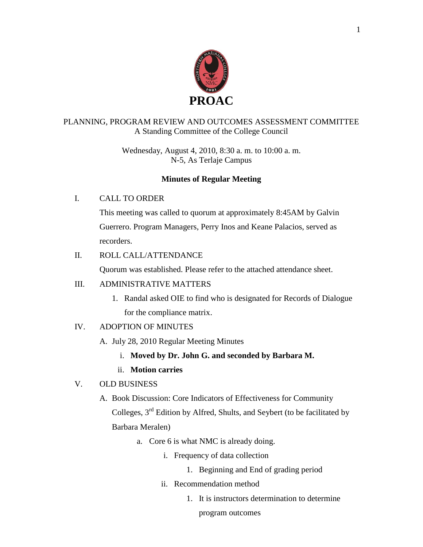

## PLANNING, PROGRAM REVIEW AND OUTCOMES ASSESSMENT COMMITTEE A Standing Committee of the College Council

Wednesday, August 4, 2010, 8:30 a. m. to 10:00 a. m. N-5, As Terlaje Campus

## **Minutes of Regular Meeting**

## I. CALL TO ORDER

This meeting was called to quorum at approximately 8:45AM by Galvin Guerrero. Program Managers, Perry Inos and Keane Palacios, served as recorders.

## II. ROLL CALL/ATTENDANCE

Quorum was established. Please refer to the attached attendance sheet.

### III. ADMINISTRATIVE MATTERS

1. Randal asked OIE to find who is designated for Records of Dialogue for the compliance matrix.

## IV. ADOPTION OF MINUTES

- A. July 28, 2010 Regular Meeting Minutes
	- i. **Moved by Dr. John G. and seconded by Barbara M.**
	- ii. **Motion carries**

## V. OLD BUSINESS

- A. Book Discussion: Core Indicators of Effectiveness for Community Colleges, 3rd Edition by Alfred, Shults, and Seybert (to be facilitated by Barbara Meralen)
	- a. Core 6 is what NMC is already doing.
		- i. Frequency of data collection
			- 1. Beginning and End of grading period
		- ii. Recommendation method
			- 1. It is instructors determination to determine

program outcomes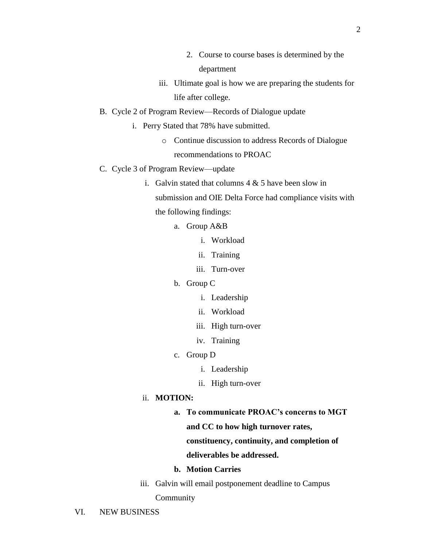- 2. Course to course bases is determined by the department
- iii. Ultimate goal is how we are preparing the students for life after college.
- B. Cycle 2 of Program Review—Records of Dialogue update
	- i. Perry Stated that 78% have submitted.
		- o Continue discussion to address Records of Dialogue recommendations to PROAC
- C. Cycle 3 of Program Review—update
	- i. Galvin stated that columns  $4 \& 5$  have been slow in

submission and OIE Delta Force had compliance visits with the following findings:

- a. Group A&B
	- i. Workload
	- ii. Training
	- iii. Turn-over
- b. Group C
	- i. Leadership
	- ii. Workload
	- iii. High turn-over
	- iv. Training
- c. Group D
	- i. Leadership
	- ii. High turn-over

### ii. **MOTION:**

**a. To communicate PROAC's concerns to MGT and CC to how high turnover rates, constituency, continuity, and completion of** 

#### **deliverables be addressed.**

- **b. Motion Carries**
- iii. Galvin will email postponement deadline to Campus Community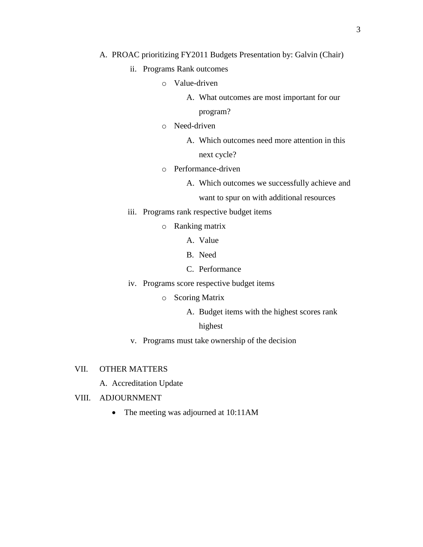#### A. PROAC prioritizing FY2011 Budgets Presentation by: Galvin (Chair)

- ii. Programs Rank outcomes
	- o Value-driven
		- A. What outcomes are most important for our

program?

- o Need-driven
	- A. Which outcomes need more attention in this next cycle?
- o Performance-driven
	- A. Which outcomes we successfully achieve and

want to spur on with additional resources

- iii. Programs rank respective budget items
	- o Ranking matrix
		- A. Value
		- B. Need
		- C. Performance
- iv. Programs score respective budget items
	- o Scoring Matrix
		- A. Budget items with the highest scores rank

#### highest

- v. Programs must take ownership of the decision
- VII. OTHER MATTERS
	- A. Accreditation Update
- VIII. ADJOURNMENT
	- The meeting was adjourned at 10:11AM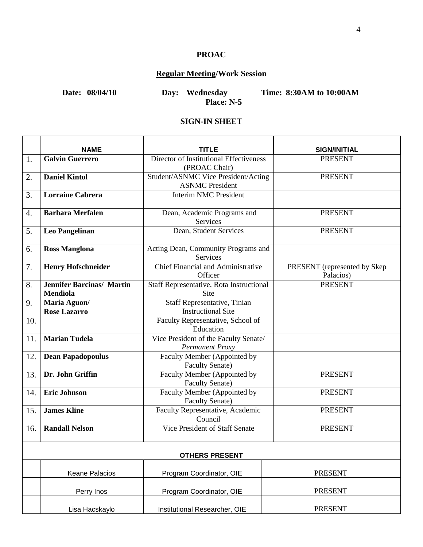## **PROAC**

# **Regular Meeting/Work Session**

**Date: 08/04/10 Day: Wednesday Time: 8:30AM to 10:00AM Place: N-5**

# **SIGN-IN SHEET**

|     | <b>NAME</b>                                         | TITLE                                                         | <b>SIGN/INITIAL</b>                       |  |  |
|-----|-----------------------------------------------------|---------------------------------------------------------------|-------------------------------------------|--|--|
| 1.  | <b>Galvin Guerrero</b>                              | Director of Institutional Effectiveness<br>(PROAC Chair)      | <b>PRESENT</b>                            |  |  |
| 2.  | <b>Daniel Kintol</b>                                | Student/ASNMC Vice President/Acting<br><b>ASNMC</b> President | <b>PRESENT</b>                            |  |  |
| 3.  | <b>Lorraine Cabrera</b>                             | <b>Interim NMC President</b>                                  |                                           |  |  |
| 4.  | <b>Barbara Merfalen</b>                             | Dean, Academic Programs and<br>Services                       | <b>PRESENT</b>                            |  |  |
| 5.  | <b>Leo Pangelinan</b>                               | Dean, Student Services                                        | <b>PRESENT</b>                            |  |  |
| 6.  | <b>Ross Manglona</b>                                | Acting Dean, Community Programs and<br>Services               |                                           |  |  |
| 7.  | <b>Henry Hofschneider</b>                           | Chief Financial and Administrative<br>Officer                 | PRESENT (represented by Skep<br>Palacios) |  |  |
| 8.  | <b>Jennifer Barcinas/ Martin</b><br><b>Mendiola</b> | Staff Representative, Rota Instructional<br>Site              | <b>PRESENT</b>                            |  |  |
| 9.  | Maria Aguon/<br><b>Rose Lazarro</b>                 | Staff Representative, Tinian<br><b>Instructional Site</b>     |                                           |  |  |
| 10. |                                                     | Faculty Representative, School of<br>Education                |                                           |  |  |
| 11. | <b>Marian Tudela</b>                                | Vice President of the Faculty Senate/<br>Permanent Proxy      |                                           |  |  |
| 12. | <b>Dean Papadopoulus</b>                            | Faculty Member (Appointed by<br><b>Faculty Senate)</b>        |                                           |  |  |
| 13. | Dr. John Griffin                                    | Faculty Member (Appointed by<br><b>Faculty Senate)</b>        | <b>PRESENT</b>                            |  |  |
| 14. | <b>Eric Johnson</b>                                 | Faculty Member (Appointed by<br>Faculty Senate)               | <b>PRESENT</b>                            |  |  |
| 15. | <b>James Kline</b>                                  | Faculty Representative, Academic<br>Council                   | <b>PRESENT</b>                            |  |  |
| 16. | <b>Randall Nelson</b>                               | Vice President of Staff Senate                                | <b>PRESENT</b>                            |  |  |
|     | <b>OTHERS PRESENT</b>                               |                                                               |                                           |  |  |
|     | Keane Palacios                                      | Program Coordinator, OIE                                      | <b>PRESENT</b>                            |  |  |
|     | Perry Inos                                          | Program Coordinator, OIE                                      | <b>PRESENT</b>                            |  |  |
|     | Lisa Hacskaylo                                      | Institutional Researcher, OIE                                 | <b>PRESENT</b>                            |  |  |